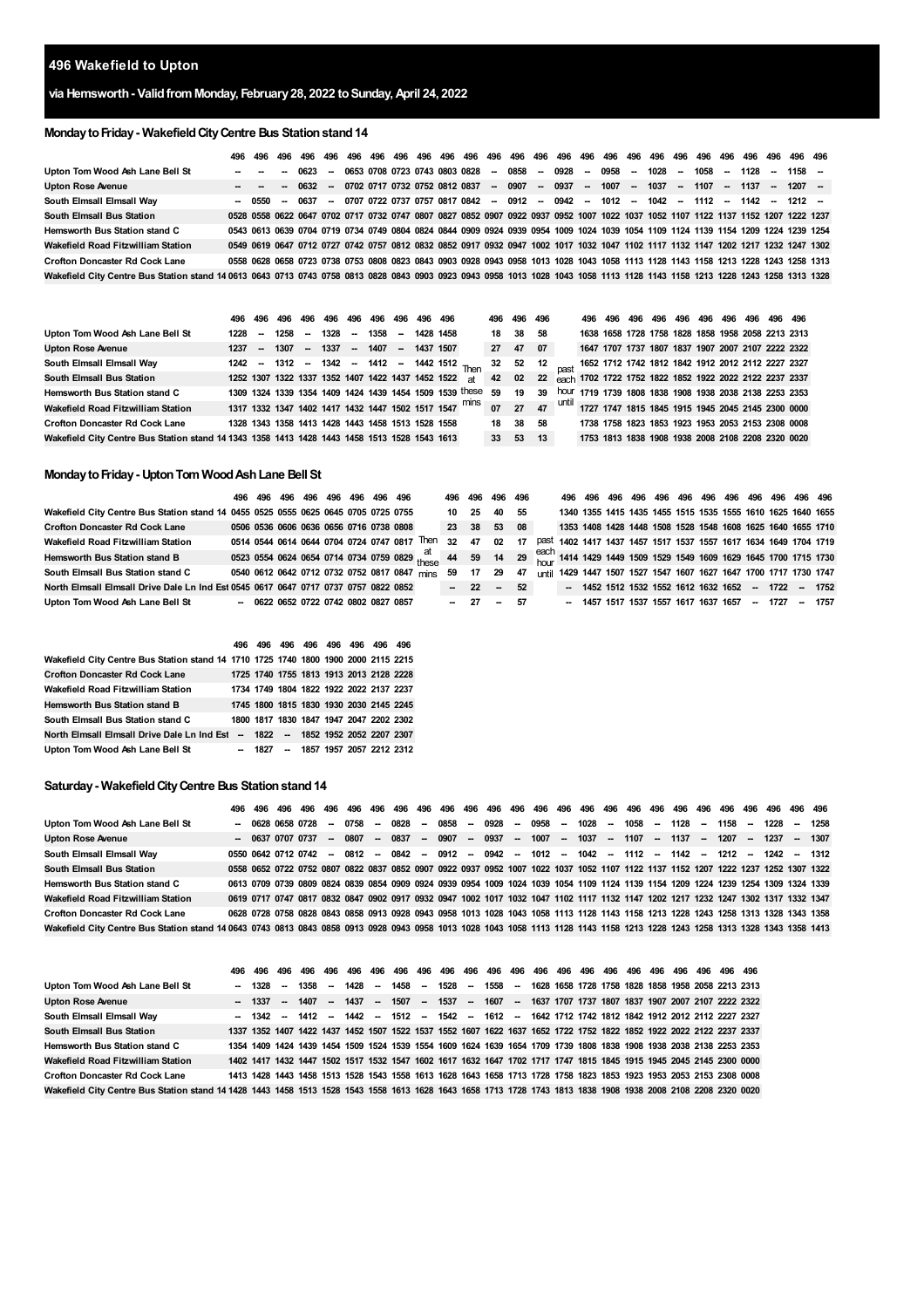# **Wakefield to Upton**

# **via Hemsworth- ValidfromMonday, February28, 2022 toSunday,April 24, 2022**

# **MondaytoFriday- WakefieldCityCentre Bus Stationstand14**

|                                                                                                                                                                              | 496 | 496                             |               |        |  |  |  |  |  |                                                                                  |  |  |  |  |                                                                                                                                   |  |
|------------------------------------------------------------------------------------------------------------------------------------------------------------------------------|-----|---------------------------------|---------------|--------|--|--|--|--|--|----------------------------------------------------------------------------------|--|--|--|--|-----------------------------------------------------------------------------------------------------------------------------------|--|
| Upton Tom Wood Ash Lane Bell St                                                                                                                                              |     | the contract of the contract of |               | - 0623 |  |  |  |  |  |                                                                                  |  |  |  |  | -- 0653 0708 0723 0743 0803 0828 -- 0858 -- 0928 -- 0958 -- 1028 -- 1058 -- 1128 -- 1158 --                                       |  |
| <b>Upton Rose Avenue</b>                                                                                                                                                     |     | $ -$                            |               | - 0632 |  |  |  |  |  | -- 0702 0717 0732 0752 0812 0837 -- 0907 -- 0937 -- 1007 -- 1037 -- 1107 -- 1137 |  |  |  |  | $-1207 -$                                                                                                                         |  |
| South Elmsall Elmsall Way                                                                                                                                                    |     |                                 | - 0550 - 0637 |        |  |  |  |  |  |                                                                                  |  |  |  |  | -- 0707 0722 0737 0757 0817 0842 -- 0912 -- 0942 -- 1012 -- 1042 -- 1112 -- 1142 -- 1212 --                                       |  |
| <b>South Elmsall Bus Station</b>                                                                                                                                             |     |                                 |               |        |  |  |  |  |  |                                                                                  |  |  |  |  | 0528 0558 0622 0647 0702 0717 0732 0747 0807 0827 0852 0907 0922 0937 0952 1007 1022 1037 1052 1107 1122 1137 1152 1207 1222 1237 |  |
| Hemsworth Bus Station stand C                                                                                                                                                |     |                                 |               |        |  |  |  |  |  |                                                                                  |  |  |  |  | 0543 0613 0639 0704 0719 0734 0749 0804 0824 0844 0909 0924 0939 0954 1009 1024 1039 1054 1109 1124 1139 1154 1209 1224 1239 1254 |  |
| Wakefield Road Fitzwilliam Station                                                                                                                                           |     |                                 |               |        |  |  |  |  |  |                                                                                  |  |  |  |  | 0549 0619 0647 0712 0727 0742 0757 0812 0832 0852 0917 0932 0947 1002 1017 1032 1047 1102 1117 1132 1147 1202 1217 1232 1247 1302 |  |
| <b>Crofton Doncaster Rd Cock Lane</b>                                                                                                                                        |     |                                 |               |        |  |  |  |  |  |                                                                                  |  |  |  |  | 0558 0628 0658 0723 0738 0753 0808 0823 0843 0903 0928 0943 0958 1013 1028 1043 1058 1113 1128 1143 1158 1213 1228 1243 1258 1313 |  |
| Wakefield City Centre Bus Station stand 14 0613 0643 0713 0743 0758 0813 0828 0843 0903 0923 0943 0958 1013 1028 1043 1058 1113 1128 1143 1158 1213 1228 1243 1258 1313 1328 |     |                                 |               |        |  |  |  |  |  |                                                                                  |  |  |  |  |                                                                                                                                   |  |

|                                                                                              | 496  | 496                      | 496 496 496 496 496 496 496 496                   |      |                     |  |                                                      |                                                            |                 | 496 496 496 |      | 496 496 |  |  |  | 496 496 496 496 496 496 496 496 496                                                                                                           |  |
|----------------------------------------------------------------------------------------------|------|--------------------------|---------------------------------------------------|------|---------------------|--|------------------------------------------------------|------------------------------------------------------------|-----------------|-------------|------|---------|--|--|--|-----------------------------------------------------------------------------------------------------------------------------------------------|--|
| Upton Tom Wood Ash Lane Bell St                                                              | 1228 | $\overline{\phantom{a}}$ | 1258 –                                            | 1328 | $- 1358 - 14281458$ |  |                                                      |                                                            | 18 38           |             | -58  |         |  |  |  | 1638 1658 1728 1758 1828 1858 1958 2058 2213 2313                                                                                             |  |
| <b>Upton Rose Avenue</b>                                                                     | 1237 | $\sim$                   | $1307 - 1337$                                     |      |                     |  | $- 1407 - 14371507$                                  |                                                            | 27              | 47          | - 07 |         |  |  |  | 1647 1707 1737 1807 1837 1907 2007 2107 2222 2322                                                                                             |  |
| South Elmsall Elmsall Way                                                                    |      |                          |                                                   |      |                     |  |                                                      | 1242 - 1312 - 1342 - 1412 - 1442 1512 Then                 | 32              | 52 12       |      |         |  |  |  | past 1652 1712 1742 1812 1842 1912 2012 2112 2227 2327                                                                                        |  |
| <b>South Elmsall Bus Station</b>                                                             |      |                          |                                                   |      |                     |  | 1252 1307 1322 1337 1352 1407 1422 1437 1452 1522 at |                                                            | 42              | 02          | 22   |         |  |  |  | each 1702 1722 1752 1822 1852 1922 2022 2122 2237 2337                                                                                        |  |
| Hemsworth Bus Station stand C                                                                |      |                          |                                                   |      |                     |  |                                                      | 1309 1324 1339 1354 1409 1424 1439 1454 1509 1539 these 59 |                 | 19          | 39   |         |  |  |  | hour 1719 1739 1808 1838 1908 1938 2038 2138 2253 2353                                                                                        |  |
| Wakefield Road Fitzwilliam Station                                                           |      |                          |                                                   |      |                     |  |                                                      |                                                            |                 |             |      |         |  |  |  | 1317 1332 1347 1402 1417 1432 1447 1502 1517 1547 <sup>mins</sup> 07 27 47 <sup>until</sup> 1727 1747 1815 1845 1915 1945 2045 2145 2300 0000 |  |
| <b>Crofton Doncaster Rd Cock Lane</b>                                                        |      |                          | 1328 1343 1358 1413 1428 1443 1458 1513 1528 1558 |      |                     |  |                                                      |                                                            | 18              | 38          | 58   |         |  |  |  | 1738 1758 1823 1853 1923 1953 2053 2153 2308 0008                                                                                             |  |
| Wakefield City Centre Bus Station stand 14 1343 1358 1413 1428 1443 1458 1513 1528 1543 1613 |      |                          |                                                   |      |                     |  |                                                      |                                                            | 33 <sup>3</sup> | 53          | 13   |         |  |  |  | 1753 1813 1838 1908 1938 2008 2108 2208 2320 0020                                                                                             |  |

## **MondaytoFriday- UptonTom WoodAshLane Bell St**

|                                                                                     | 496 496 496 496 496 496 496 496              |  |  |  |                                                                                                                                                         | 496 496 496 496 |            |       |    |              |                                      |  |  |  |  |                                                             |  |
|-------------------------------------------------------------------------------------|----------------------------------------------|--|--|--|---------------------------------------------------------------------------------------------------------------------------------------------------------|-----------------|------------|-------|----|--------------|--------------------------------------|--|--|--|--|-------------------------------------------------------------|--|
| Wakefield City Centre Bus Station stand 14 0455 0525 0525 0625 0645 0705 0725 0755  |                                              |  |  |  |                                                                                                                                                         |                 | 10 25      | 40 55 |    |              |                                      |  |  |  |  | 1340 1355 1415 1435 1455 1515 1535 1555 1610 1625 1640 1655 |  |
| <b>Crofton Doncaster Rd Cock Lane</b>                                               | 0506 0536 0606 0636 0656 0716 0738 0808      |  |  |  |                                                                                                                                                         | 23 38 53 08     |            |       |    |              |                                      |  |  |  |  | 1353 1408 1428 1448 1508 1528 1548 1608 1625 1640 1655 1710 |  |
| Wakefield Road Fitzwilliam Station                                                  |                                              |  |  |  | 0514 0544 0614 0644 0704 0724 0747 0817 Then                                                                                                            | 32              | 47         | 02    | 17 | past         |                                      |  |  |  |  | 1402 1417 1437 1457 1517 1537 1557 1617 1634 1649 1704 1719 |  |
| <b>Hemsworth Bus Station stand B</b>                                                |                                              |  |  |  | 0523 0554 0624 0654 0714 0734 0759 0829 $\frac{at}{these}$ 44 59 14 29 $\frac{each}{thare}$ 1414 1429 1449 1509 1529 1549 1609 1629 1645 1700 1715 1730 |                 |            |       |    |              |                                      |  |  |  |  |                                                             |  |
| South Elmsall Bus Station stand C                                                   | 0540 0612 0642 0712 0732 0752 0817 0847 mins |  |  |  |                                                                                                                                                         | 59              | 17         | 29 47 |    | <b>until</b> |                                      |  |  |  |  | 1429 1447 1507 1527 1547 1607 1627 1647 1700 1717 1730 1747 |  |
| North Elmsall Elmsall Drive Dale Ln Ind Est 0545 0617 0647 0717 0737 0757 0822 0852 |                                              |  |  |  |                                                                                                                                                         |                 | $-22 - 52$ |       |    |              |                                      |  |  |  |  | - 1452 1512 1532 1552 1612 1632 1652 - 1722 - 1752          |  |
| Upton Tom Wood Ash Lane Bell St                                                     | $-0622065207220742080208270857$              |  |  |  |                                                                                                                                                         |                 | - 27 - 57  |       |    |              | - 1457 1517 1537 1557 1617 1637 1657 |  |  |  |  | $-1727 - 1757$                                              |  |

|                                                                                    | 496 |  |  | 496 496 496 496 496 496 496             |                                   |
|------------------------------------------------------------------------------------|-----|--|--|-----------------------------------------|-----------------------------------|
| Wakefield City Centre Bus Station stand 14 1710 1725 1740 1800 1900 2000 2115 2215 |     |  |  |                                         |                                   |
| <b>Crofton Doncaster Rd Cock Lane</b>                                              |     |  |  | 1725 1740 1755 1813 1913 2013 2128 2228 |                                   |
| Wakefield Road Fitzwilliam Station                                                 |     |  |  | 1734 1749 1804 1822 1922 2022 2137 2237 |                                   |
| <b>Hemsworth Bus Station stand B</b>                                               |     |  |  | 1745 1800 1815 1830 1930 2030 2145 2245 |                                   |
| South Elmsall Bus Station stand C                                                  |     |  |  | 1800 1817 1830 1847 1947 2047 2202 2302 |                                   |
| North Elmsall Elmsall Drive Dale Ln Ind Est - 1822 - 1852 1952 2052 2207 2307      |     |  |  |                                         |                                   |
| Upton Tom Wood Ash Lane Bell St                                                    |     |  |  |                                         | - 1827 - 1857 1957 2057 2212 2312 |

#### **Saturday- WakefieldCityCentre Bus Stationstand14**

| Upton Tom Wood Ash Lane Bell St                                                                                                                                              |  | - 0628 0658 0728    | - 0758 | $\sim$ | 0828           |  |  |  |  |  |  |  |  | -- 0858 -- 0928 -- 0958 -- 1028 -- 1058 -- 1128 -- 1158 -- 1228 -- 1258                                                           |  |
|------------------------------------------------------------------------------------------------------------------------------------------------------------------------------|--|---------------------|--------|--------|----------------|--|--|--|--|--|--|--|--|-----------------------------------------------------------------------------------------------------------------------------------|--|
| <b>Upton Rose Avenue</b>                                                                                                                                                     |  | $-063707070737$     |        |        | $-0807 - 0837$ |  |  |  |  |  |  |  |  | -- 0907 -- 0937 -- 1007 -- 1037 -- 1107 -- 1137 -- 1207 -- 1237 -- 1307                                                           |  |
| South Elmsall Elmsall Wav                                                                                                                                                    |  | 0550 0642 0712 0742 |        |        |                |  |  |  |  |  |  |  |  | -- 0812 -- 0842 -- 0912 -- 0942 -- 1012 -- 1042 -- 1112 -- 1142 -- 1212 -- 1242 -- 1312                                           |  |
| <b>South Elmsall Bus Station</b>                                                                                                                                             |  |                     |        |        |                |  |  |  |  |  |  |  |  | 0558 0652 0722 0752 0807 0822 0837 0852 0907 0922 0937 0952 1007 1022 1037 1052 1107 1122 1137 1152 1207 1222 1237 1252 1307 1322 |  |
| Hemsworth Bus Station stand C                                                                                                                                                |  |                     |        |        |                |  |  |  |  |  |  |  |  | 0613 0709 0739 0809 0824 0839 0854 0909 0924 0939 0954 1009 1024 1039 1054 1109 1124 1139 1154 1209 1224 1239 1254 1309 1324 1339 |  |
| Wakefield Road Fitzwilliam Station                                                                                                                                           |  |                     |        |        |                |  |  |  |  |  |  |  |  | 0619 0717 0747 0817 0832 0847 0902 0917 0932 0947 1002 1017 1032 1047 1102 1117 1132 1147 1202 1217 1232 1247 1302 1317 1332 1347 |  |
| <b>Crofton Doncaster Rd Cock Lane</b>                                                                                                                                        |  |                     |        |        |                |  |  |  |  |  |  |  |  | 0628 0728 0758 0828 0843 0858 0913 0928 0943 0958 1013 1028 1043 1058 1113 1128 1143 1158 1213 1228 1243 1258 1313 1328 1343 1358 |  |
| Wakefield City Centre Bus Station stand 14 0643 0743 0813 0843 0858 0913 0928 0943 0958 1013 1028 1043 1058 1113 1128 1143 1158 1213 1228 1243 1258 1313 1328 1343 1358 1413 |  |                     |        |        |                |  |  |  |  |  |  |  |  |                                                                                                                                   |  |

|                                                                                                                                                               | 496 |         |        |  |  |  |  |  |  |  |  |  |                                                                                                                    |  |
|---------------------------------------------------------------------------------------------------------------------------------------------------------------|-----|---------|--------|--|--|--|--|--|--|--|--|--|--------------------------------------------------------------------------------------------------------------------|--|
| Upton Tom Wood Ash Lane Bell St                                                                                                                               |     |         |        |  |  |  |  |  |  |  |  |  | - 1328 - 1358 - 1428 - 1458 - 1528 - 1558 - 1628 1658 1728 1758 1828 1858 1958 2058 2213 2313                      |  |
| <b>Upton Rose Avenue</b>                                                                                                                                      |     | $-1337$ | $\sim$ |  |  |  |  |  |  |  |  |  | 1407 - 1437 - 1507 - 1537 - 1607 - 1637 1707 1737 1807 1837 1907 2007 2107 2222 2322                               |  |
| South Elmsall Elmsall Way                                                                                                                                     |     |         |        |  |  |  |  |  |  |  |  |  | -- 1342 -- 1412 -- 1442 -- 1512 -- 1542 -- 1612 -- 1642 1712 1742 1812 1842 1912 2012 2112 2227 2327               |  |
| <b>South Elmsall Bus Station</b>                                                                                                                              |     |         |        |  |  |  |  |  |  |  |  |  | 1337 1352 1407 1422 1437 1452 1507 1522 1537 1552 1607 1622 1637 1652 1722 1752 1822 1852 1922 2022 2122 2237 2337 |  |
| Hemsworth Bus Station stand C                                                                                                                                 |     |         |        |  |  |  |  |  |  |  |  |  | 1354 1409 1424 1439 1454 1509 1524 1539 1554 1609 1624 1639 1654 1709 1739 1808 1838 1908 1938 2038 2138 2253 2353 |  |
| Wakefield Road Fitzwilliam Station                                                                                                                            |     |         |        |  |  |  |  |  |  |  |  |  | 1402 1417 1432 1447 1502 1517 1532 1547 1602 1617 1632 1647 1702 1717 1747 1815 1845 1915 1945 2045 2145 2300 0000 |  |
| <b>Crofton Doncaster Rd Cock Lane</b>                                                                                                                         |     |         |        |  |  |  |  |  |  |  |  |  | 1413 1428 1443 1458 1513 1528 1543 1558 1613 1628 1643 1658 1713 1728 1758 1823 1853 1923 1953 2053 2153 2308 0008 |  |
| Wakefield City Centre Bus Station stand 14 1428 1443 1458 1513 1528 1543 1558 1613 1628 1643 1658 1713 1728 1743 1813 1838 1908 1938 2008 2108 2208 2320 0020 |     |         |        |  |  |  |  |  |  |  |  |  |                                                                                                                    |  |